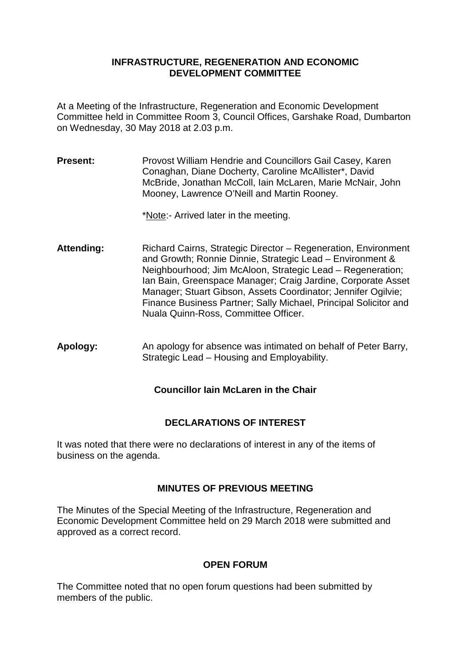#### **INFRASTRUCTURE, REGENERATION AND ECONOMIC DEVELOPMENT COMMITTEE**

At a Meeting of the Infrastructure, Regeneration and Economic Development Committee held in Committee Room 3, Council Offices, Garshake Road, Dumbarton on Wednesday, 30 May 2018 at 2.03 p.m.

**Present:** Provost William Hendrie and Councillors Gail Casey, Karen Conaghan, Diane Docherty, Caroline McAllister\*, David McBride, Jonathan McColl, Iain McLaren, Marie McNair, John Mooney, Lawrence O'Neill and Martin Rooney.

\*Note:- Arrived later in the meeting.

- Attending: Richard Cairns, Strategic Director Regeneration, Environment and Growth; Ronnie Dinnie, Strategic Lead – Environment & Neighbourhood; Jim McAloon, Strategic Lead – Regeneration; Ian Bain, Greenspace Manager; Craig Jardine, Corporate Asset Manager; Stuart Gibson, Assets Coordinator; Jennifer Ogilvie; Finance Business Partner; Sally Michael, Principal Solicitor and Nuala Quinn-Ross, Committee Officer.
- **Apology:** An apology for absence was intimated on behalf of Peter Barry, Strategic Lead – Housing and Employability.

**Councillor Iain McLaren in the Chair**

# **DECLARATIONS OF INTEREST**

It was noted that there were no declarations of interest in any of the items of business on the agenda.

# **MINUTES OF PREVIOUS MEETING**

The Minutes of the Special Meeting of the Infrastructure, Regeneration and Economic Development Committee held on 29 March 2018 were submitted and approved as a correct record.

# **OPEN FORUM**

The Committee noted that no open forum questions had been submitted by members of the public.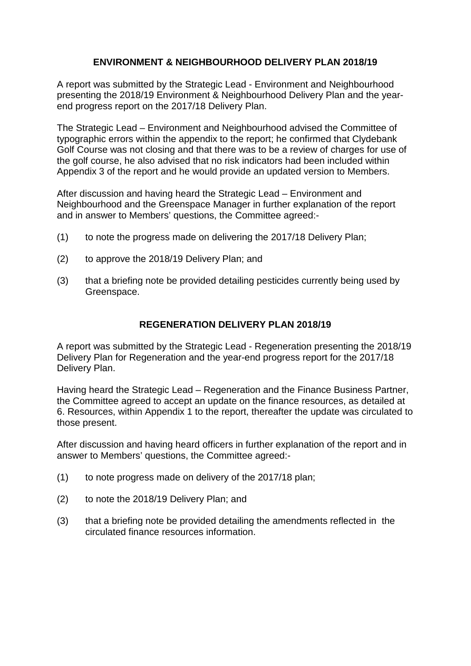# **ENVIRONMENT & NEIGHBOURHOOD DELIVERY PLAN 2018/19**

A report was submitted by the Strategic Lead - Environment and Neighbourhood presenting the 2018/19 Environment & Neighbourhood Delivery Plan and the yearend progress report on the 2017/18 Delivery Plan.

The Strategic Lead – Environment and Neighbourhood advised the Committee of typographic errors within the appendix to the report; he confirmed that Clydebank Golf Course was not closing and that there was to be a review of charges for use of the golf course, he also advised that no risk indicators had been included within Appendix 3 of the report and he would provide an updated version to Members.

After discussion and having heard the Strategic Lead – Environment and Neighbourhood and the Greenspace Manager in further explanation of the report and in answer to Members' questions, the Committee agreed:-

- (1) to note the progress made on delivering the 2017/18 Delivery Plan;
- (2) to approve the 2018/19 Delivery Plan; and
- (3) that a briefing note be provided detailing pesticides currently being used by Greenspace.

### **REGENERATION DELIVERY PLAN 2018/19**

A report was submitted by the Strategic Lead - Regeneration presenting the 2018/19 Delivery Plan for Regeneration and the year-end progress report for the 2017/18 Delivery Plan.

Having heard the Strategic Lead – Regeneration and the Finance Business Partner, the Committee agreed to accept an update on the finance resources, as detailed at 6. Resources, within Appendix 1 to the report, thereafter the update was circulated to those present.

After discussion and having heard officers in further explanation of the report and in answer to Members' questions, the Committee agreed:-

- (1) to note progress made on delivery of the 2017/18 plan;
- (2) to note the 2018/19 Delivery Plan; and
- (3) that a briefing note be provided detailing the amendments reflected in the circulated finance resources information.